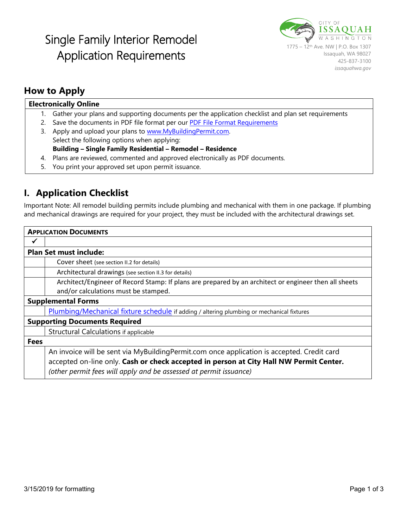# **Single Family Interior Remodel Application Requirements**



# **How to Apply**

#### **Electronically Online**

- 1. Gather your plans and supporting documents per the application checklist and plan set requirements
- 2. Save the documents in PDF file format per our [PDF File Format Requirements](http://issaquahwa.gov/DocumentCenter/View/2643)
- 3. Apply and upload your plans to [www.MyBuildingPermit.com.](http://www.mybuildingpermit.com/) Select the following options when applying: **Building – Single Family Residential – Remodel – Residence**
- 4. Plans are reviewed, commented and approved electronically as PDF documents.
- 5. You print your approved set upon permit issuance.

## **I. Application Checklist**

Important Note: All remodel building permits include plumbing and mechanical with them in one package. If plumbing and mechanical drawings are required for your project, they must be included with the architectural drawings set.

| <b>APPLICATION DOCUMENTS</b>         |                                                                                                       |
|--------------------------------------|-------------------------------------------------------------------------------------------------------|
|                                      |                                                                                                       |
| <b>Plan Set must include:</b>        |                                                                                                       |
|                                      | Cover sheet (see section II.2 for details)                                                            |
|                                      | Architectural drawings (see section II.3 for details)                                                 |
|                                      | Architect/Engineer of Record Stamp: If plans are prepared by an architect or engineer then all sheets |
|                                      | and/or calculations must be stamped.                                                                  |
| <b>Supplemental Forms</b>            |                                                                                                       |
|                                      | Plumbing/Mechanical fixture schedule if adding / altering plumbing or mechanical fixtures             |
| <b>Supporting Documents Required</b> |                                                                                                       |
|                                      | Structural Calculations if applicable                                                                 |
| <b>Fees</b>                          |                                                                                                       |
|                                      | An invoice will be sent via MyBuildingPermit.com once application is accepted. Credit card            |
|                                      | accepted on-line only. Cash or check accepted in person at City Hall NW Permit Center.                |
|                                      | (other permit fees will apply and be assessed at permit issuance)                                     |
|                                      |                                                                                                       |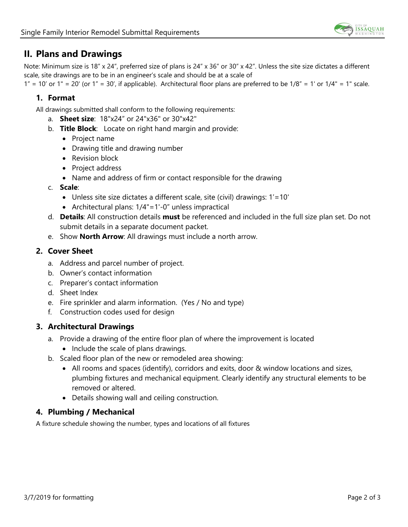

## **II. Plans and Drawings**

Note: Minimum size is 18" x 24", preferred size of plans is 24" x 36" or 30" x 42". Unless the site size dictates a different scale, site drawings are to be in an engineer's scale and should be at a scale of

 $1'' = 10'$  or  $1'' = 20'$  (or  $1'' = 30'$ , if applicable). Architectural floor plans are preferred to be  $1/8'' = 1'$  or  $1/4'' = 1''$  scale.

## **1. Format**

All drawings submitted shall conform to the following requirements:

- a. **Sheet size**: 18"x24" or 24"x36" or 30"x42"
- b. **Title Block**: Locate on right hand margin and provide:
	- Project name
	- Drawing title and drawing number
	- Revision block
	- Project address
	- Name and address of firm or contact responsible for the drawing
- c. **Scale**:
	- Unless site size dictates a different scale, site (civil) drawings: 1'=10'
	- Architectural plans: 1/4"=1'-0" unless impractical
- d. **Details**: All construction details **must** be referenced and included in the full size plan set. Do not submit details in a separate document packet.
- e. Show **North Arrow**: All drawings must include a north arrow.

## **2. Cover Sheet**

- a. Address and parcel number of project.
- b. Owner's contact information
- c. Preparer's contact information
- d. Sheet Index
- e. Fire sprinkler and alarm information. (Yes / No and type)
- f. Construction codes used for design

## **3. Architectural Drawings**

- a. Provide a drawing of the entire floor plan of where the improvement is located
	- Include the scale of plans drawings.
- b. Scaled floor plan of the new or remodeled area showing:
	- All rooms and spaces (identify), corridors and exits, door & window locations and sizes, plumbing fixtures and mechanical equipment. Clearly identify any structural elements to be removed or altered.
	- Details showing wall and ceiling construction.

## **4. Plumbing / Mechanical**

A fixture schedule showing the number, types and locations of all fixtures